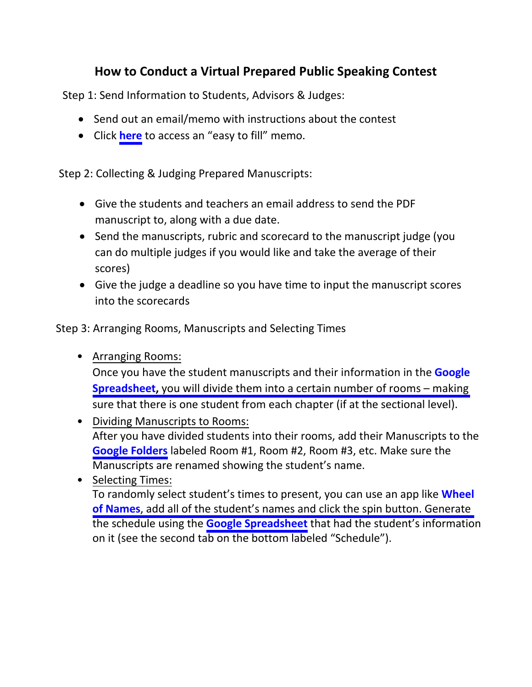# **How to Conduct a Virtual Prepared Public Speaking Contest**

<span id="page-0-0"></span>Step 1: Send Information to Students, Advisors & Judges:

- Send out an email/memo with instructions about the contest
- Click **[here](#page-5-0)** to access an "easy to fill" memo.

Step 2: Collecting & Judging Prepared Manuscripts:

- Give the students and teachers an email address to send the PDF manuscript to, along with a due date.
- Send the manuscripts, rubric and scorecard to the manuscript judge (you can do multiple judges if you would like and take the average of their scores)
- Give the judge a deadline so you have time to input the manuscript scores into the scorecards

Step 3: Arranging Rooms, Manuscripts and Selecting Times

• Arranging Rooms:

[Once you have the student manuscripts and their information in the](https://docs.google.com/spreadsheets/d/1JwfHQWMt7HQKz_i17-ke3tmWAYhCfVrwnbrKzEelLX0/edit?usp=sharing) **Google Spreadsheet,** you will divide them into a certain number of rooms – making sure that there is one student from each chapter (if at the sectional level).

- Dividing Manuscripts to Rooms: After you have divided students into their rooms, add their Manuscripts to the **[Google Folders](https://drive.google.com/drive/folders/1QXOet3WnpXLxiQa090_yjUTx0aOdEzLC?usp=sharing)** labeled Room #1, Room #2, Room #3, etc. Make sure the Manuscripts are renamed showing the student's name.
- Selecting Times:

[To randomly select student's times to present, you can use an app like](https://wheelofnames.com/) **Wheel of Names**, add all of the student's names and click the spin button. Generate the schedule using the **[Google Spreadsheet](https://docs.google.com/spreadsheets/d/1JwfHQWMt7HQKz_i17-ke3tmWAYhCfVrwnbrKzEelLX0/edit?usp=sharing)** that had the student's information on it (see the second tab on the bottom labeled "Schedule").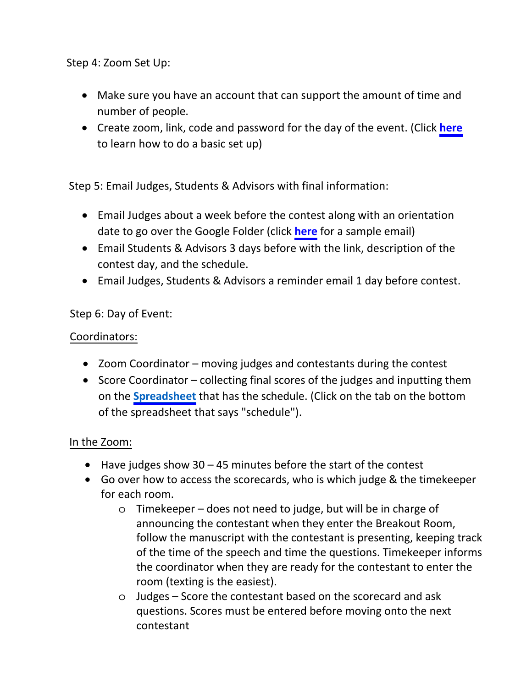<span id="page-1-0"></span>Step 4: Zoom Set Up:

- Make sure you have an account that can support the amount of time and number of people.
- Create zoom, link, code and password for the day of the eve[nt. \(Click](https://docs.google.com/spreadsheets/d/1JwfHQWMt7HQKz_i17-ke3tmWAYhCfVrwnbrKzEelLX0/edit?usp=sharing) **[here](#page-7-0)** to learn how to do a basic set up)

Step 5: Email Judges, Students & Advisors with final information:

- Email Judges about a week before the contest along with an orientation date to go over the Google Folder (click **[here](#page-6-0)** for a sample email)
- Email Students & Advisors 3 days before with the link, description of the contest day, and the schedule.
- Email Judges, Students & Advisors a reminder email 1 day before contest.

### Step 6: Day of Event:

### Coordinators:

- Zoom Coordinator moving judges and contestants during the contest
- Score Coordinator collecting final scores of the judges and inputting them on the **[Spreadsheet](https://docs.google.com/spreadsheets/d/1JwfHQWMt7HQKz_i17-ke3tmWAYhCfVrwnbrKzEelLX0/edit?usp=sharing)** that has the schedule. (Click on the tab on the bottom of the spreadsheet that says "schedule").

### In the Zoom:

- Have judges show  $30 45$  minutes before the start of the contest
- Go over how to access the scorecards, who is which judge & the timekeeper for each room.
	- o Timekeeper does not need to judge, but will be in charge of announcing the contestant when they enter the Breakout Room, follow the manuscript with the contestant is presenting, keeping track of the time of the speech and time the questions. Timekeeper informs the coordinator when they are ready for the contestant to enter the room (texting is the easiest).
	- o [Judges Sco](https://docs.google.com/spreadsheets/d/1JwfHQWMt7HQKz_i17-ke3tmWAYhCfVrwnbrKzEelLX0/edit?usp=sharing)re the contestant based on the scorecard and ask questions. Scores must be entered before moving onto the next contestant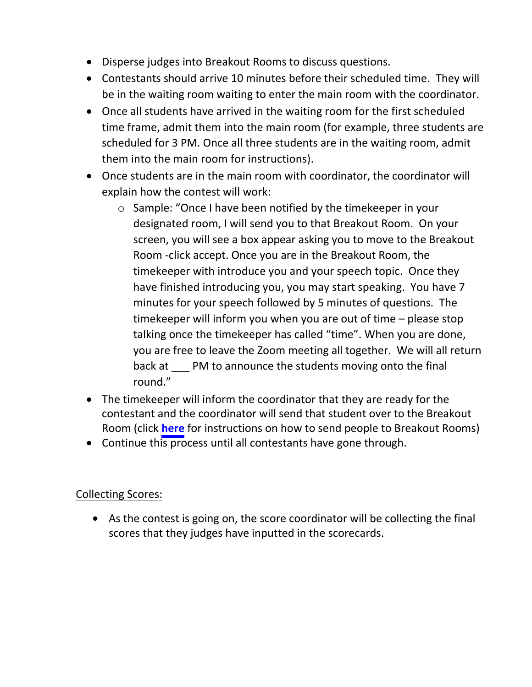- <span id="page-2-0"></span>• Disperse judges into Breakout Rooms to discuss questions.
- Contestants should arrive 10 minutes before their scheduled time. They will be in the waiting room waiting to enter the main room with the coordinator.
- Once all students have arrived in the waiting room for the first scheduled time frame, admit them into the main room (for example, three students are scheduled for 3 PM. Once all three students are in the waiting room, admit them into the main room for instructions).
- Once students are in the main room with coordinator, the coordinator will explain how the contest will work:
	- o Sample: "Once I have been notified by the timekeeper in your designated room, I will send you to that Breakout Room. On your screen, you will see a box appear asking you to move to the Breakout Room -click accept. Once you are in the Breakout Room, the timekeeper with introduce you and your speech topic. Once they have finished introducing you, you may start speaking. You have 7 minutes for your speech followed by 5 minutes of questions. The timekeeper will inform you when you are out of time – please stop talking once the timekeeper has called "time". When you are done, you are free to leave the Zoom meeting all together. We will all return back at PM to announce the students moving onto the final round."
- The timekeeper will inform the coordinator that they are ready for the contestant and the coordinator will send that student over to the Breakout Room (click **[here](#page-9-0)** for instructions on how to send people to Breakout Rooms)
- Continue this process until all contestants have gone through.

### Collecting Scores:

• As the contest is going on, the score coordinator will be collecting the final scores that they judges have inputted in the scorecards.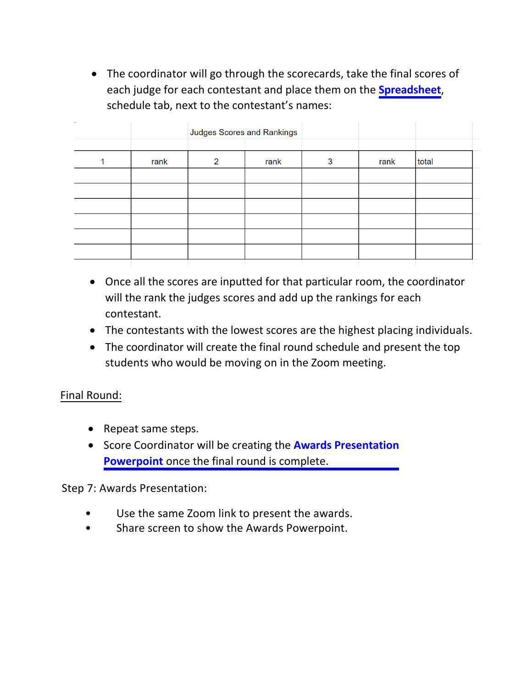• The coordinator will go through the scorecards, take the final scores of each judge for each contestant and place them on the **[Spreadsheet](https://docs.google.com/spreadsheets/d/1JwfHQWMt7HQKz_i17-ke3tmWAYhCfVrwnbrKzEelLX0/edit?usp=sharing)**, schedule tab, next to the contestant's names:

|      | Judges Scores and Rankings |      |   |      |       |
|------|----------------------------|------|---|------|-------|
|      |                            |      |   |      |       |
| rank | 2                          | rank | 3 | rank | total |
|      |                            |      |   |      |       |
|      |                            |      |   |      |       |
|      |                            |      |   |      |       |
|      |                            |      |   |      |       |
|      |                            |      |   |      |       |
|      |                            |      |   |      |       |

- Once all the scores are inputted for that particular room, the coordinator will the rank the judges scores and add up the rankings for each contestant.
- The contestants with the lowest scores are the highest placing individuals.
- The coordinator will create the final round schedule and present the top students who would be moving on in the Zoom meeting.

### Final Round:

- Repeat same steps.
- [Score Coordinator will be creating the](https://docs.google.com/presentation/d/1_aPuSukTxnidXX-kwu2B6BuLCZrDG4DLMG9t5Vzx94o/edit?usp=sharing) **Awards Presentation Powerpoint** once the final round is complete.

Step 7: Awards Presentation:

- Use the same Zoom link to present the awards.
- Share screen to show the Awards Powerpoint.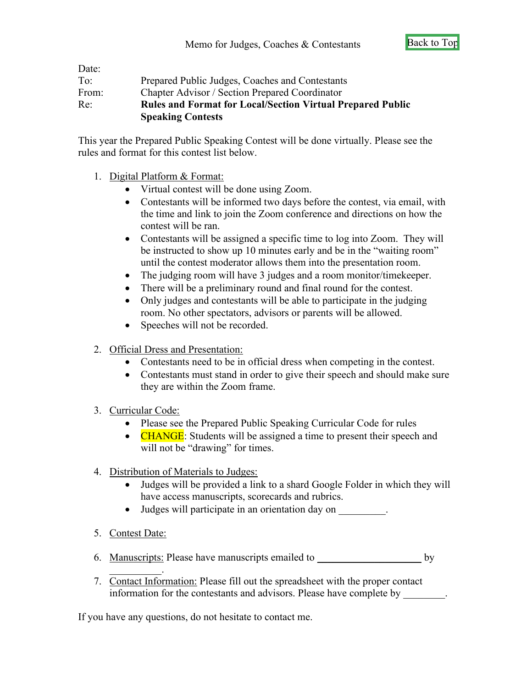<span id="page-5-0"></span>

| To:   | Prepared Public Judges, Coaches and Contestants                                               |
|-------|-----------------------------------------------------------------------------------------------|
| From: | Chapter Advisor / Section Prepared Coordinator                                                |
| Re:   | <b>Rules and Format for Local/Section Virtual Prepared Public</b><br><b>Speaking Contests</b> |

This year the Prepared Public Speaking Contest will be done virtually. Please see the rules and format for this contest list below.

- 1. Digital Platform & Format:
	- Virtual contest will be done using Zoom.
	- Contestants will be informed two days before the contest, via email, with the time and link to join the Zoom conference and directions on how the contest will be ran.
	- Contestants will be assigned a specific time to log into Zoom. They will be instructed to show up 10 minutes early and be in the "waiting room" until the contest moderator allows them into the presentation room.
	- The judging room will have 3 judges and a room monitor/timekeeper.
	- There will be a preliminary round and final round for the contest.
	- Only judges and contestants will be able to participate in the judging room. No other spectators, advisors or parents will be allowed.
	- Speeches will not be recorded.
- 2. Official Dress and Presentation:
	- Contestants need to be in official dress when competing in the contest.
	- Contestants must stand in order to give their speech and should make sure they are within the Zoom frame.
- 3. Curricular Code:
	- Please see the Prepared Public Speaking Curricular Code for rules
	- CHANGE: Students will be assigned a time to present their speech and will not be "drawing" for times.
- 4. Distribution of Materials to Judges:
	- Judges will be provided a link to a shard Google Folder in which they will have access manuscripts, scorecards and rubrics.
	- Judges will participate in an orientation day on
- 5. Contest Date:

 $\overline{\phantom{a}}$ 

- 6. Manuscripts: Please have manuscripts emailed to \_\_\_\_\_\_\_\_\_\_\_\_\_\_\_\_\_\_\_\_\_\_\_ by
- 7. Contact Information: Please fill out the spreadsheet with the proper contact information for the contestants and advisors. Please have complete by \_\_\_\_\_\_\_\_.

If you have any questions, do not hesitate to contact me.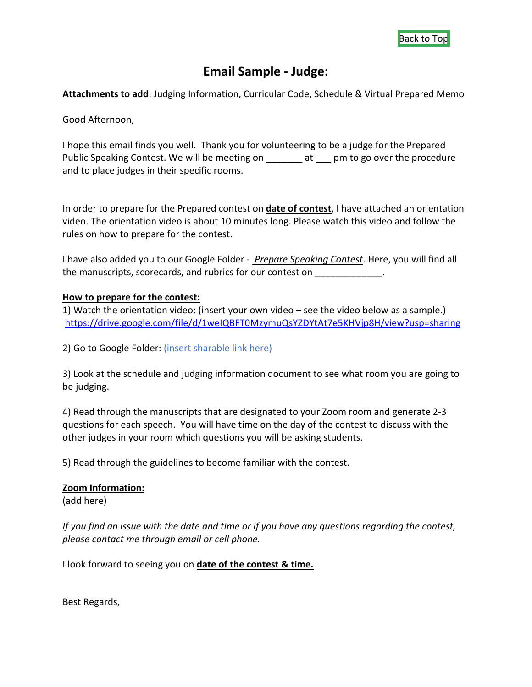## **Email Sample - Judge:**

<span id="page-6-0"></span>**Attachments to add**: Judging Information, Curricular Code, Schedule & Virtual Prepared Memo

Good Afternoon,

I hope this email finds you well. Thank you for volunteering to be a judge for the Prepared Public Speaking Contest. We will be meeting on \_\_\_\_\_\_ at \_\_\_ pm to go over the procedure and to place judges in their specific rooms.

In order to prepare for the Prepared contest on **date of contest**, I have attached an orientation video. The orientation video is about 10 minutes long. Please watch this video and follow the rules on how to prepare for the contest.

I have also added you to our Google Folder - *Prepare Speaking Contest*. Here, you will find all the manuscripts, scorecards, and rubrics for our contest on  $\blacksquare$ 

#### **How to prepare for the contest:**

1) Watch the orientation video: (insert your own video – see the video below as a sample.) <https://drive.google.com/file/d/1weIQBFT0MzymuQsYZDYtAt7e5KHVjp8H/view?usp=sharing>

2) Go to Google Folder: (insert sharable link here)

3) Look at the schedule and judging information document to see what room you are going to be judging.

4) Read through the manuscripts that are designated to your Zoom room and generate 2-3 questions for each speech. You will have time on the day of the contest to discuss with the other judges in your room which questions you will be asking students.

5) Read through the guidelines to become familiar with the contest.

#### **Zoom Information:**

(add here)

*If you find an issue with the date and time or if you have any questions regarding the contest, please contact me through email or cell phone.*

I look forward to seeing you on **date of the contest & time.**

Best Regards,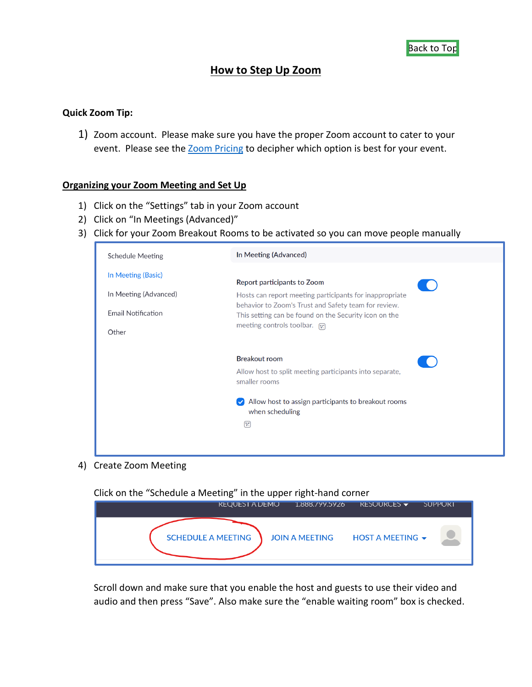### **How to Step Up Zoom**

#### <span id="page-7-0"></span>**Quick Zoom Tip:**

1) Zoom account. Please make sure you have the proper Zoom account to cater to your event. Please see the **Zoom Pricing to decipher which option is best for your event.** 

#### **Organizing your Zoom Meeting and Set Up**

- 1) Click on the "Settings" tab in your Zoom account
- 2) Click on "In Meetings (Advanced)"
- 3) Click for your Zoom Breakout Rooms to be activated so you can move people manually



#### 4) Create Zoom Meeting

Click on the "Schedule a Meeting" in the upper right-hand corner



Scroll down and make sure that you enable the host and guests to use their video and audio and then press "Save". Also make sure the "enable waiting room" box is checked.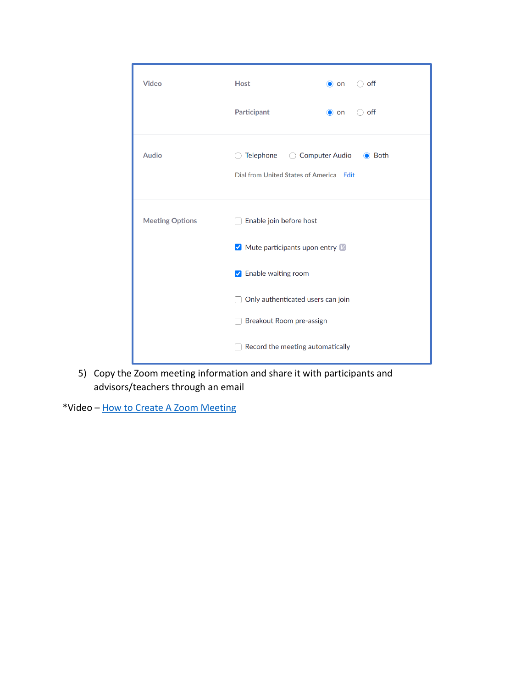| <b>Video</b>           | <b>Host</b>                                    | $\bigcirc$ off<br>$\bullet$ on |  |  |
|------------------------|------------------------------------------------|--------------------------------|--|--|
|                        | Participant                                    | off<br>$\bullet$ on            |  |  |
| <b>Audio</b>           | ( )<br>Dial from United States of America Edit | <b>●</b> Both                  |  |  |
| <b>Meeting Options</b> | Enable join before host                        |                                |  |  |
|                        | $\vee$ Mute participants upon entry $\vee$     |                                |  |  |
| ✔ Enable waiting room  |                                                |                                |  |  |
|                        | Only authenticated users can join              |                                |  |  |
|                        | Breakout Room pre-assign                       |                                |  |  |
|                        | Record the meeting automatically               |                                |  |  |

5) Copy the Zoom meeting information and share it with participants and advisors/teachers through an email

\*Video – [How to Create A Zoom Meeting](https://youtu.be/LE2w9tRpF4I)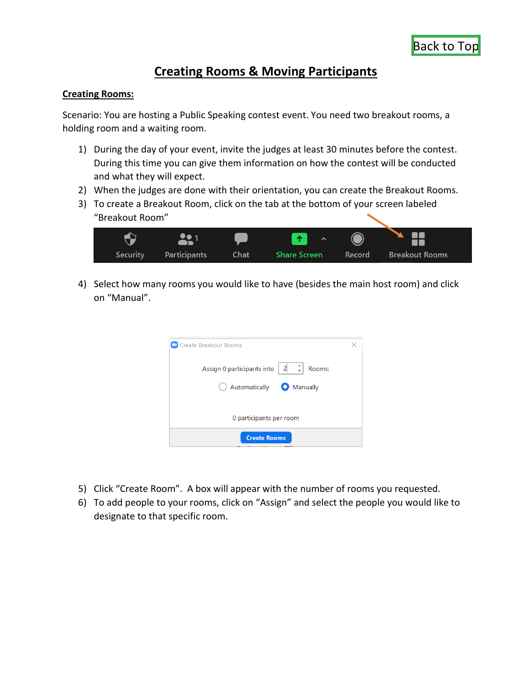## **Creating Rooms & Moving Participants**

#### <span id="page-9-0"></span>**Creating Rooms:**

Scenario: You are hosting a Public Speaking contest event. You need two breakout rooms, a holding room and a waiting room.

- 1) During the day of your event, invite the judges at least 30 minutes before the contest. During this time you can give them information on how the contest will be conducted and what they will expect.
- 2) When the judges are done with their orientation, you can create the Breakout Rooms.
- 3) To create a Breakout Room, click on the tab at the bottom of your screen labeled "Breakout Room"



4) Select how many rooms you would like to have (besides the main host room) and click on "Manual".

| <b>Create Breakout Rooms</b>                                                  |  |  |  |  |  |
|-------------------------------------------------------------------------------|--|--|--|--|--|
| $\begin{vmatrix} 2 & 1 \end{vmatrix}$<br>Assign 0 participants into<br>Rooms: |  |  |  |  |  |
| Automatically <b>O</b> Manually                                               |  |  |  |  |  |
|                                                                               |  |  |  |  |  |
| 0 participants per room                                                       |  |  |  |  |  |
| <b>Create Rooms</b>                                                           |  |  |  |  |  |

- 5) Click "Create Room". A box will appear with the number of rooms you requested.
- 6) To add people to your rooms, click on "Assign" and select the people you would like to designate to that specific room.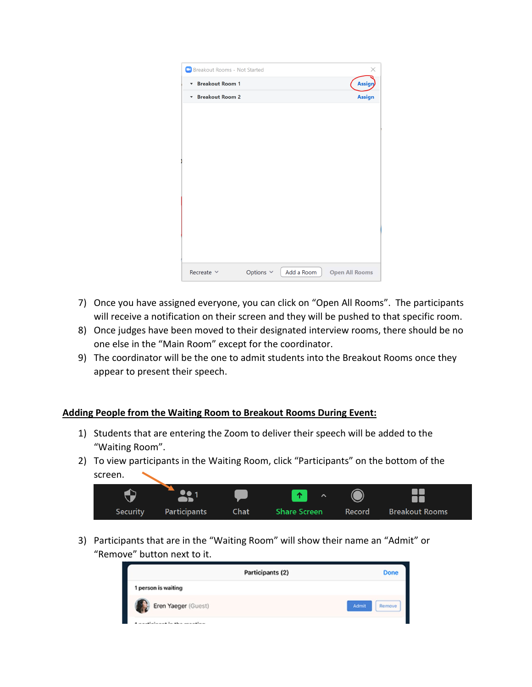| <b>Breakout Rooms - Not Started</b> |                      |            | ×                     |
|-------------------------------------|----------------------|------------|-----------------------|
| <b>Breakout Room 1</b><br>▼         |                      |            | Assign                |
| * Breakout Room 2                   |                      |            | <b>Assign</b>         |
|                                     |                      |            |                       |
|                                     |                      |            |                       |
|                                     |                      |            |                       |
|                                     |                      |            |                       |
|                                     |                      |            |                       |
|                                     |                      |            |                       |
|                                     |                      |            |                       |
|                                     |                      |            |                       |
|                                     |                      |            |                       |
|                                     |                      |            |                       |
|                                     |                      |            |                       |
|                                     |                      |            |                       |
| Recreate $\sim$                     | Options $\,\,\vee\,$ | Add a Room | <b>Open All Rooms</b> |
|                                     |                      |            |                       |

- 7) Once you have assigned everyone, you can click on "Open All Rooms". The participants will receive a notification on their screen and they will be pushed to that specific room.
- 8) Once judges have been moved to their designated interview rooms, there should be no one else in the "Main Room" except for the coordinator.
- 9) The coordinator will be the one to admit students into the Breakout Rooms once they appear to present their speech.

#### **Adding People from the Waiting Room to Breakout Rooms During Event:**

- 1) Students that are entering the Zoom to deliver their speech will be added to the "Waiting Room".
- 2) To view participants in the Waiting Room, click "Participants" on the bottom of the screen.

| <b>START</b> |              |      | <b>AND</b><br>$\boldsymbol{\wedge}$ |        |                       |
|--------------|--------------|------|-------------------------------------|--------|-----------------------|
| Security     | Participants | Chat | <b>Share Screen</b>                 | Record | <b>Breakout Rooms</b> |

3) Participants that are in the "Waiting Room" will show their name an "Admit" or "Remove" button next to it.

| Participants (2)                | Done            |
|---------------------------------|-----------------|
| 1 person is waiting             |                 |
| Eren Yaeger (Guest)<br><b>A</b> | Admit<br>Remove |
| ومستقصد ومحافرها فستستط والمستر |                 |